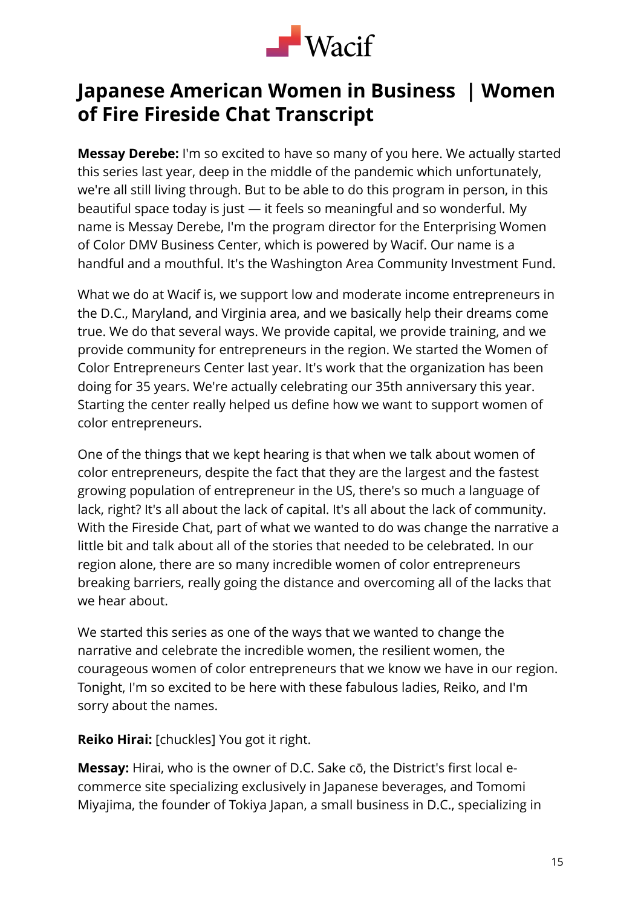

# **Japanese American Women in Business | Women of Fire Fireside Chat Transcript**

**Messay Derebe:** I'm so excited to have so many of you here. We actually started this series last year, deep in the middle of the pandemic which unfortunately, we're all still living through. But to be able to do this program in person, in this beautiful space today is just — it feels so meaningful and so wonderful. My name is Messay Derebe, I'm the program director for the Enterprising Women of Color DMV Business Center, which is powered by Wacif. Our name is a handful and a mouthful. It's the Washington Area Community Investment Fund.

What we do at Wacif is, we support low and moderate income entrepreneurs in the D.C., Maryland, and Virginia area, and we basically help their dreams come true. We do that several ways. We provide capital, we provide training, and we provide community for entrepreneurs in the region. We started the Women of Color Entrepreneurs Center last year. It's work that the organization has been doing for 35 years. We're actually celebrating our 35th anniversary this year. Starting the center really helped us define how we want to support women of color entrepreneurs.

One of the things that we kept hearing is that when we talk about women of color entrepreneurs, despite the fact that they are the largest and the fastest growing population of entrepreneur in the US, there's so much a language of lack, right? It's all about the lack of capital. It's all about the lack of community. With the Fireside Chat, part of what we wanted to do was change the narrative a little bit and talk about all of the stories that needed to be celebrated. In our region alone, there are so many incredible women of color entrepreneurs breaking barriers, really going the distance and overcoming all of the lacks that we hear about.

We started this series as one of the ways that we wanted to change the narrative and celebrate the incredible women, the resilient women, the courageous women of color entrepreneurs that we know we have in our region. Tonight, I'm so excited to be here with these fabulous ladies, Reiko, and I'm sorry about the names.

**Reiko Hirai:** [chuckles] You got it right.

**Messay:** Hirai, who is the owner of D.C. Sake cō, the District's first local ecommerce site specializing exclusively in Japanese beverages, and Tomomi Miyajima, the founder of Tokiya Japan, a small business in D.C., specializing in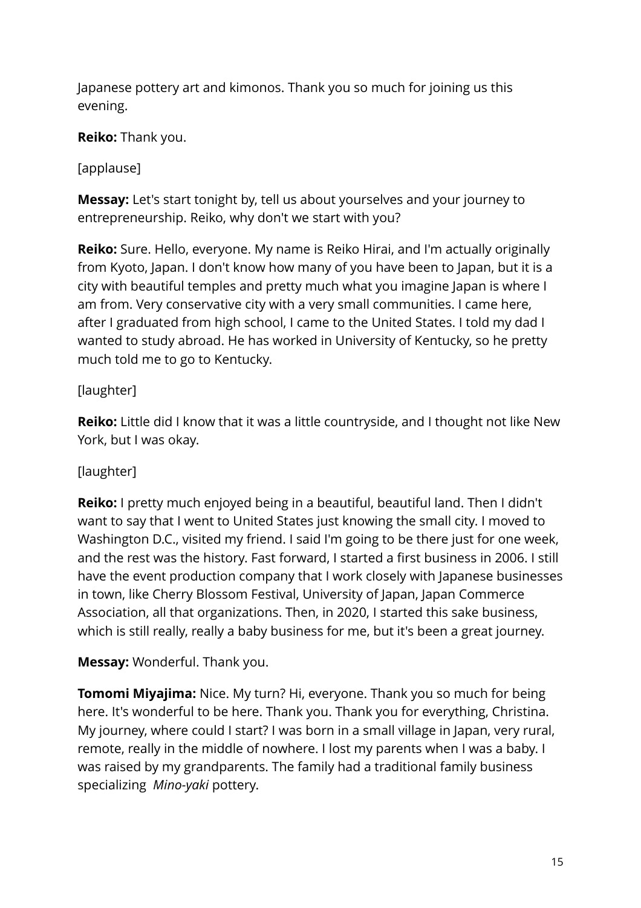Japanese pottery art and kimonos. Thank you so much for joining us this evening.

**Reiko:** Thank you.

## [applause]

**Messay:** Let's start tonight by, tell us about yourselves and your journey to entrepreneurship. Reiko, why don't we start with you?

**Reiko:** Sure. Hello, everyone. My name is Reiko Hirai, and I'm actually originally from Kyoto, Japan. I don't know how many of you have been to Japan, but it is a city with beautiful temples and pretty much what you imagine Japan is where I am from. Very conservative city with a very small communities. I came here, after I graduated from high school, I came to the United States. I told my dad I wanted to study abroad. He has worked in University of Kentucky, so he pretty much told me to go to Kentucky.

## [laughter]

**Reiko:** Little did I know that it was a little countryside, and I thought not like New York, but I was okay.

## [laughter]

**Reiko:** I pretty much enjoyed being in a beautiful, beautiful land. Then I didn't want to say that I went to United States just knowing the small city. I moved to Washington D.C., visited my friend. I said I'm going to be there just for one week, and the rest was the history. Fast forward, I started a first business in 2006. I still have the event production company that I work closely with Japanese businesses in town, like Cherry Blossom Festival, University of Japan, Japan Commerce Association, all that organizations. Then, in 2020, I started this sake business, which is still really, really a baby business for me, but it's been a great journey.

#### **Messay:** Wonderful. Thank you.

**Tomomi Miyajima:** Nice. My turn? Hi, everyone. Thank you so much for being here. It's wonderful to be here. Thank you. Thank you for everything, Christina. My journey, where could I start? I was born in a small village in Japan, very rural, remote, really in the middle of nowhere. I lost my parents when I was a baby. I was raised by my grandparents. The family had a traditional family business specializing *Mino-yaki* pottery.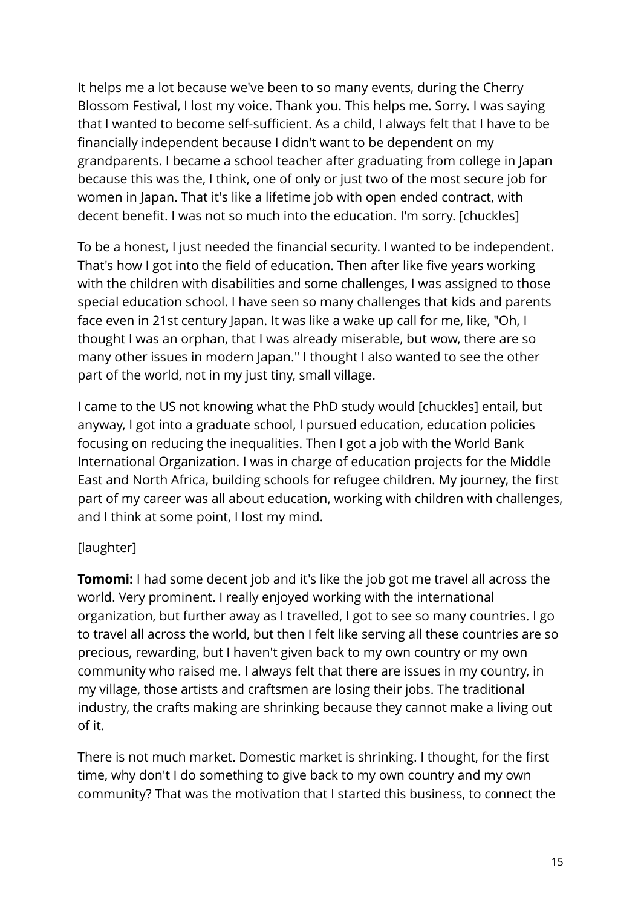It helps me a lot because we've been to so many events, during the Cherry Blossom Festival, I lost my voice. Thank you. This helps me. Sorry. I was saying that I wanted to become self-sufficient. As a child, I always felt that I have to be financially independent because I didn't want to be dependent on my grandparents. I became a school teacher after graduating from college in Japan because this was the, I think, one of only or just two of the most secure job for women in Japan. That it's like a lifetime job with open ended contract, with decent benefit. I was not so much into the education. I'm sorry. [chuckles]

To be a honest, I just needed the financial security. I wanted to be independent. That's how I got into the field of education. Then after like five years working with the children with disabilities and some challenges, I was assigned to those special education school. I have seen so many challenges that kids and parents face even in 21st century Japan. It was like a wake up call for me, like, "Oh, I thought I was an orphan, that I was already miserable, but wow, there are so many other issues in modern Japan." I thought I also wanted to see the other part of the world, not in my just tiny, small village.

I came to the US not knowing what the PhD study would [chuckles] entail, but anyway, I got into a graduate school, I pursued education, education policies focusing on reducing the inequalities. Then I got a job with the World Bank International Organization. I was in charge of education projects for the Middle East and North Africa, building schools for refugee children. My journey, the first part of my career was all about education, working with children with challenges, and I think at some point, I lost my mind.

## [laughter]

**Tomomi:** I had some decent job and it's like the job got me travel all across the world. Very prominent. I really enjoyed working with the international organization, but further away as I travelled, I got to see so many countries. I go to travel all across the world, but then I felt like serving all these countries are so precious, rewarding, but I haven't given back to my own country or my own community who raised me. I always felt that there are issues in my country, in my village, those artists and craftsmen are losing their jobs. The traditional industry, the crafts making are shrinking because they cannot make a living out of it.

There is not much market. Domestic market is shrinking. I thought, for the first time, why don't I do something to give back to my own country and my own community? That was the motivation that I started this business, to connect the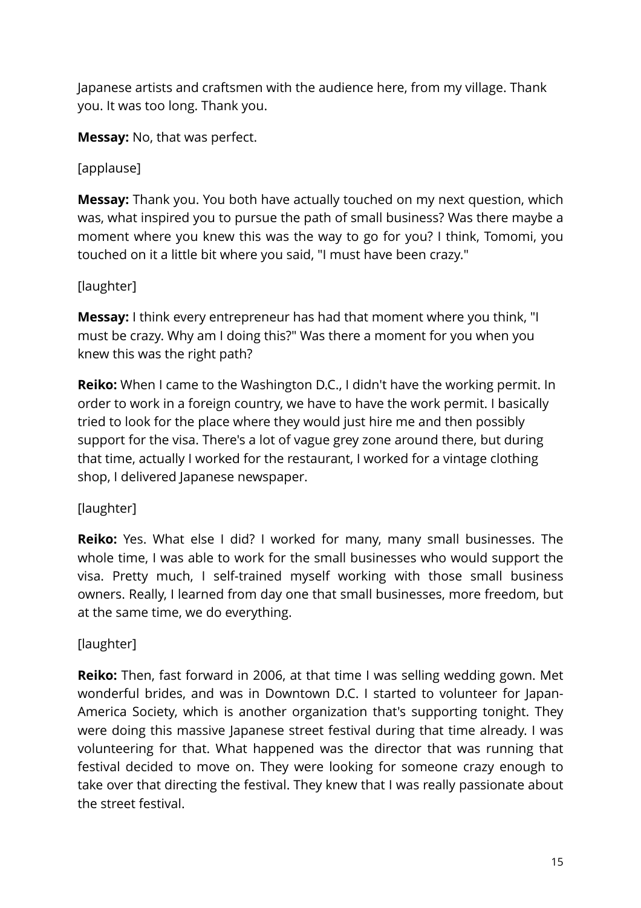Japanese artists and craftsmen with the audience here, from my village. Thank you. It was too long. Thank you.

**Messay:** No, that was perfect.

[applause]

**Messay:** Thank you. You both have actually touched on my next question, which was, what inspired you to pursue the path of small business? Was there maybe a moment where you knew this was the way to go for you? I think, Tomomi, you touched on it a little bit where you said, "I must have been crazy."

# [laughter]

**Messay:** I think every entrepreneur has had that moment where you think, "I must be crazy. Why am I doing this?" Was there a moment for you when you knew this was the right path?

**Reiko:** When I came to the Washington D.C., I didn't have the working permit. In order to work in a foreign country, we have to have the work permit. I basically tried to look for the place where they would just hire me and then possibly support for the visa. There's a lot of vague grey zone around there, but during that time, actually I worked for the restaurant, I worked for a vintage clothing shop, I delivered Japanese newspaper.

## [laughter]

**Reiko:** Yes. What else I did? I worked for many, many small businesses. The whole time, I was able to work for the small businesses who would support the visa. Pretty much, I self-trained myself working with those small business owners. Really, I learned from day one that small businesses, more freedom, but at the same time, we do everything.

# [laughter]

**Reiko:** Then, fast forward in 2006, at that time I was selling wedding gown. Met wonderful brides, and was in Downtown D.C. I started to volunteer for Japan-America Society, which is another organization that's supporting tonight. They were doing this massive Japanese street festival during that time already. I was volunteering for that. What happened was the director that was running that festival decided to move on. They were looking for someone crazy enough to take over that directing the festival. They knew that I was really passionate about the street festival.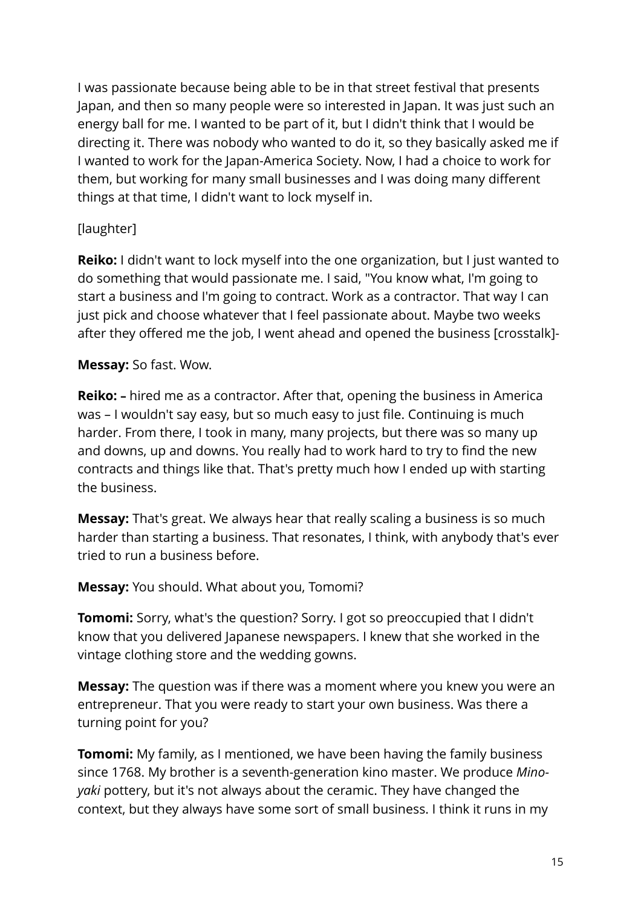I was passionate because being able to be in that street festival that presents Japan, and then so many people were so interested in Japan. It was just such an energy ball for me. I wanted to be part of it, but I didn't think that I would be directing it. There was nobody who wanted to do it, so they basically asked me if I wanted to work for the Japan-America Society. Now, I had a choice to work for them, but working for many small businesses and I was doing many different things at that time, I didn't want to lock myself in.

#### [laughter]

**Reiko:** I didn't want to lock myself into the one organization, but I just wanted to do something that would passionate me. I said, "You know what, I'm going to start a business and I'm going to contract. Work as a contractor. That way I can just pick and choose whatever that I feel passionate about. Maybe two weeks after they offered me the job, I went ahead and opened the business [crosstalk]-

#### **Messay:** So fast. Wow.

**Reiko: –** hired me as a contractor. After that, opening the business in America was – I wouldn't say easy, but so much easy to just file. Continuing is much harder. From there, I took in many, many projects, but there was so many up and downs, up and downs. You really had to work hard to try to find the new contracts and things like that. That's pretty much how I ended up with starting the business.

**Messay:** That's great. We always hear that really scaling a business is so much harder than starting a business. That resonates, I think, with anybody that's ever tried to run a business before.

#### **Messay:** You should. What about you, Tomomi?

**Tomomi:** Sorry, what's the question? Sorry. I got so preoccupied that I didn't know that you delivered Japanese newspapers. I knew that she worked in the vintage clothing store and the wedding gowns.

**Messay:** The question was if there was a moment where you knew you were an entrepreneur. That you were ready to start your own business. Was there a turning point for you?

**Tomomi:** My family, as I mentioned, we have been having the family business since 1768. My brother is a seventh-generation kino master. We produce *Minoyaki* pottery, but it's not always about the ceramic. They have changed the context, but they always have some sort of small business. I think it runs in my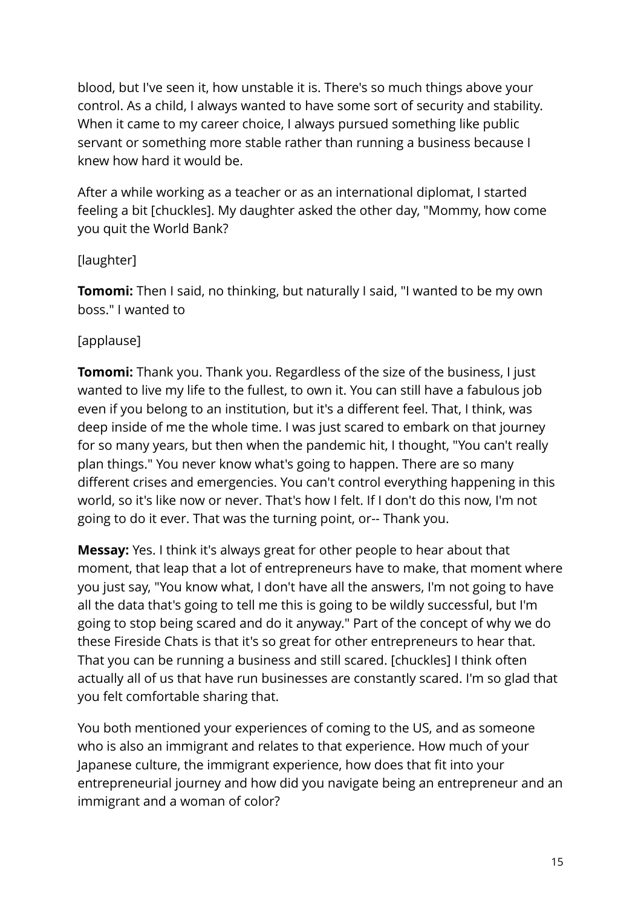blood, but I've seen it, how unstable it is. There's so much things above your control. As a child, I always wanted to have some sort of security and stability. When it came to my career choice, I always pursued something like public servant or something more stable rather than running a business because I knew how hard it would be.

After a while working as a teacher or as an international diplomat, I started feeling a bit [chuckles]. My daughter asked the other day, "Mommy, how come you quit the World Bank?

## [laughter]

**Tomomi:** Then I said, no thinking, but naturally I said, "I wanted to be my own boss." I wanted to

#### [applause]

**Tomomi:** Thank you. Thank you. Regardless of the size of the business, I just wanted to live my life to the fullest, to own it. You can still have a fabulous job even if you belong to an institution, but it's a different feel. That, I think, was deep inside of me the whole time. I was just scared to embark on that journey for so many years, but then when the pandemic hit, I thought, "You can't really plan things." You never know what's going to happen. There are so many different crises and emergencies. You can't control everything happening in this world, so it's like now or never. That's how I felt. If I don't do this now, I'm not going to do it ever. That was the turning point, or-- Thank you.

**Messay:** Yes. I think it's always great for other people to hear about that moment, that leap that a lot of entrepreneurs have to make, that moment where you just say, "You know what, I don't have all the answers, I'm not going to have all the data that's going to tell me this is going to be wildly successful, but I'm going to stop being scared and do it anyway." Part of the concept of why we do these Fireside Chats is that it's so great for other entrepreneurs to hear that. That you can be running a business and still scared. [chuckles] I think often actually all of us that have run businesses are constantly scared. I'm so glad that you felt comfortable sharing that.

You both mentioned your experiences of coming to the US, and as someone who is also an immigrant and relates to that experience. How much of your Japanese culture, the immigrant experience, how does that fit into your entrepreneurial journey and how did you navigate being an entrepreneur and an immigrant and a woman of color?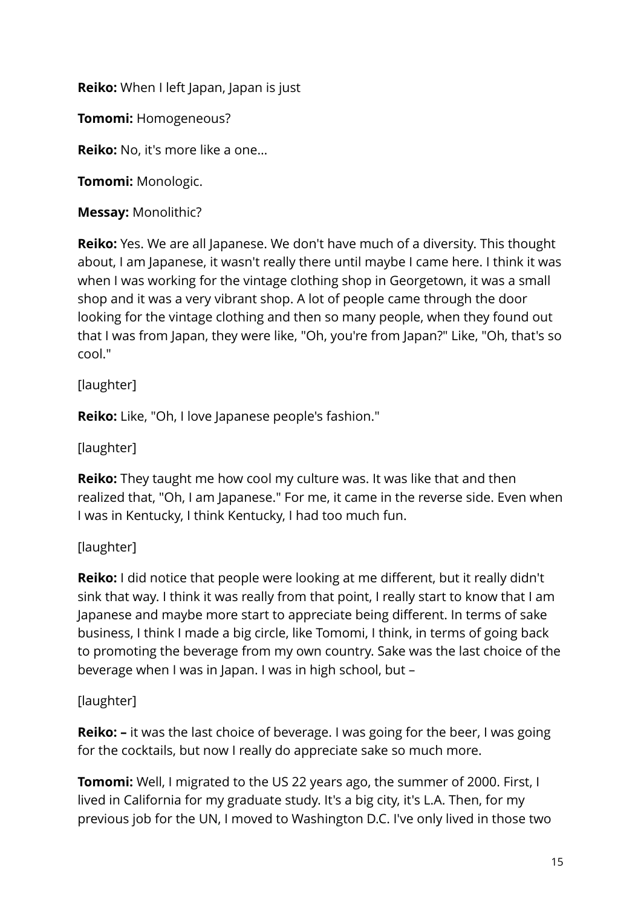**Reiko:** When I left Japan, Japan is just

**Tomomi:** Homogeneous?

**Reiko:** No, it's more like a one…

**Tomomi:** Monologic.

**Messay:** Monolithic?

**Reiko:** Yes. We are all Japanese. We don't have much of a diversity. This thought about, I am Japanese, it wasn't really there until maybe I came here. I think it was when I was working for the vintage clothing shop in Georgetown, it was a small shop and it was a very vibrant shop. A lot of people came through the door looking for the vintage clothing and then so many people, when they found out that I was from Japan, they were like, "Oh, you're from Japan?" Like, "Oh, that's so cool."

[laughter]

**Reiko:** Like, "Oh, I love Japanese people's fashion."

[laughter]

**Reiko:** They taught me how cool my culture was. It was like that and then realized that, "Oh, I am Japanese." For me, it came in the reverse side. Even when I was in Kentucky, I think Kentucky, I had too much fun.

## [laughter]

**Reiko:** I did notice that people were looking at me different, but it really didn't sink that way. I think it was really from that point, I really start to know that I am Japanese and maybe more start to appreciate being different. In terms of sake business, I think I made a big circle, like Tomomi, I think, in terms of going back to promoting the beverage from my own country. Sake was the last choice of the beverage when I was in Japan. I was in high school, but –

## [laughter]

**Reiko:** – it was the last choice of beverage. I was going for the beer, I was going for the cocktails, but now I really do appreciate sake so much more.

**Tomomi:** Well, I migrated to the US 22 years ago, the summer of 2000. First, I lived in California for my graduate study. It's a big city, it's L.A. Then, for my previous job for the UN, I moved to Washington D.C. I've only lived in those two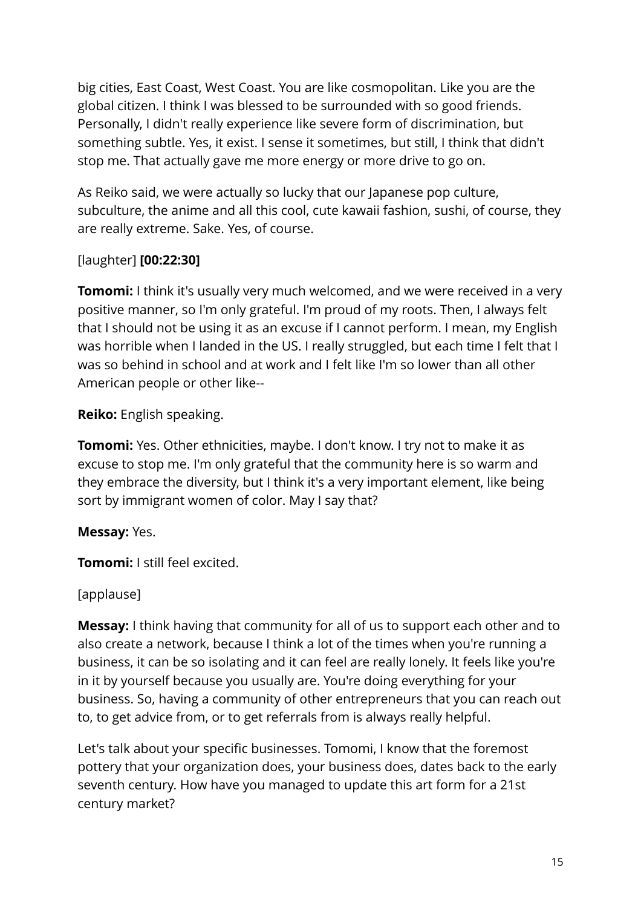big cities, East Coast, West Coast. You are like cosmopolitan. Like you are the global citizen. I think I was blessed to be surrounded with so good friends. Personally, I didn't really experience like severe form of discrimination, but something subtle. Yes, it exist. I sense it sometimes, but still, I think that didn't stop me. That actually gave me more energy or more drive to go on.

As Reiko said, we were actually so lucky that our Japanese pop culture, subculture, the anime and all this cool, cute kawaii fashion, sushi, of course, they are really extreme. Sake. Yes, of course.

#### [laughter] **[00:22:30]**

**Tomomi:** I think it's usually very much welcomed, and we were received in a very positive manner, so I'm only grateful. I'm proud of my roots. Then, I always felt that I should not be using it as an excuse if I cannot perform. I mean, my English was horrible when I landed in the US. I really struggled, but each time I felt that I was so behind in school and at work and I felt like I'm so lower than all other American people or other like--

**Reiko:** English speaking.

**Tomomi:** Yes. Other ethnicities, maybe. I don't know. I try not to make it as excuse to stop me. I'm only grateful that the community here is so warm and they embrace the diversity, but I think it's a very important element, like being sort by immigrant women of color. May I say that?

## **Messay:** Yes.

**Tomomi:** I still feel excited.

#### [applause]

**Messay:** I think having that community for all of us to support each other and to also create a network, because I think a lot of the times when you're running a business, it can be so isolating and it can feel are really lonely. It feels like you're in it by yourself because you usually are. You're doing everything for your business. So, having a community of other entrepreneurs that you can reach out to, to get advice from, or to get referrals from is always really helpful.

Let's talk about your specific businesses. Tomomi, I know that the foremost pottery that your organization does, your business does, dates back to the early seventh century. How have you managed to update this art form for a 21st century market?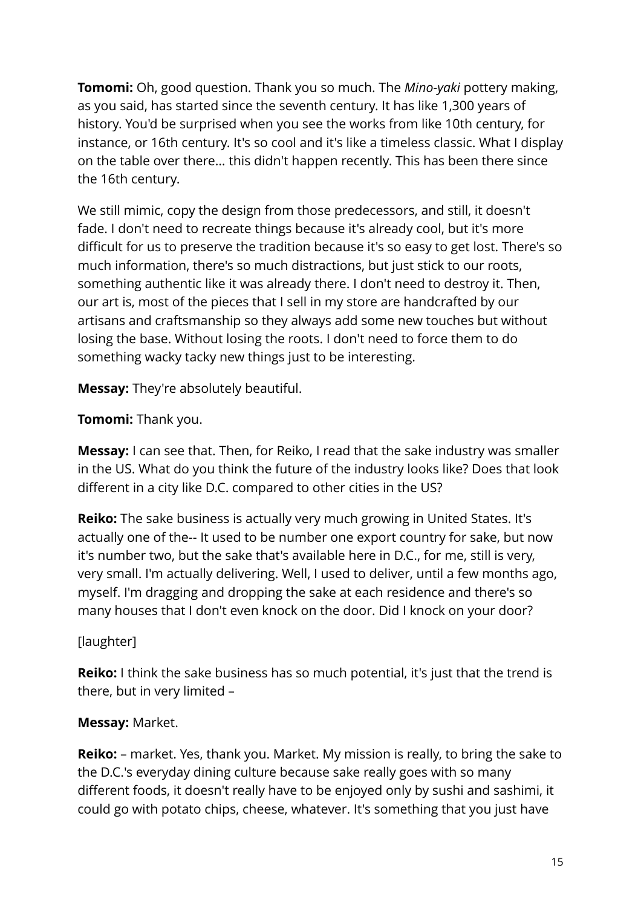**Tomomi:** Oh, good question. Thank you so much. The *Mino-yaki* pottery making, as you said, has started since the seventh century. It has like 1,300 years of history. You'd be surprised when you see the works from like 10th century, for instance, or 16th century. It's so cool and it's like a timeless classic. What I display on the table over there… this didn't happen recently. This has been there since the 16th century.

We still mimic, copy the design from those predecessors, and still, it doesn't fade. I don't need to recreate things because it's already cool, but it's more difficult for us to preserve the tradition because it's so easy to get lost. There's so much information, there's so much distractions, but just stick to our roots, something authentic like it was already there. I don't need to destroy it. Then, our art is, most of the pieces that I sell in my store are handcrafted by our artisans and craftsmanship so they always add some new touches but without losing the base. Without losing the roots. I don't need to force them to do something wacky tacky new things just to be interesting.

**Messay:** They're absolutely beautiful.

**Tomomi:** Thank you.

**Messay:** I can see that. Then, for Reiko, I read that the sake industry was smaller in the US. What do you think the future of the industry looks like? Does that look different in a city like D.C. compared to other cities in the US?

**Reiko:** The sake business is actually very much growing in United States. It's actually one of the-- It used to be number one export country for sake, but now it's number two, but the sake that's available here in D.C., for me, still is very, very small. I'm actually delivering. Well, I used to deliver, until a few months ago, myself. I'm dragging and dropping the sake at each residence and there's so many houses that I don't even knock on the door. Did I knock on your door?

## [laughter]

**Reiko:** I think the sake business has so much potential, it's just that the trend is there, but in very limited –

## **Messay:** Market.

**Reiko:** – market. Yes, thank you. Market. My mission is really, to bring the sake to the D.C.'s everyday dining culture because sake really goes with so many different foods, it doesn't really have to be enjoyed only by sushi and sashimi, it could go with potato chips, cheese, whatever. It's something that you just have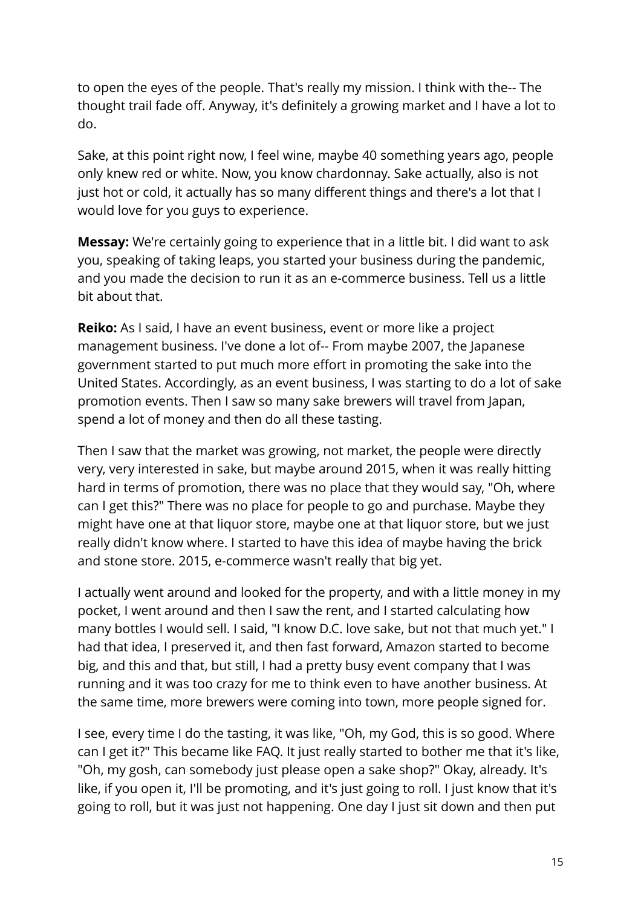to open the eyes of the people. That's really my mission. I think with the-- The thought trail fade off. Anyway, it's definitely a growing market and I have a lot to do.

Sake, at this point right now, I feel wine, maybe 40 something years ago, people only knew red or white. Now, you know chardonnay. Sake actually, also is not just hot or cold, it actually has so many different things and there's a lot that I would love for you guys to experience.

**Messay:** We're certainly going to experience that in a little bit. I did want to ask you, speaking of taking leaps, you started your business during the pandemic, and you made the decision to run it as an e-commerce business. Tell us a little bit about that.

**Reiko:** As I said, I have an event business, event or more like a project management business. I've done a lot of-- From maybe 2007, the Japanese government started to put much more effort in promoting the sake into the United States. Accordingly, as an event business, I was starting to do a lot of sake promotion events. Then I saw so many sake brewers will travel from Japan, spend a lot of money and then do all these tasting.

Then I saw that the market was growing, not market, the people were directly very, very interested in sake, but maybe around 2015, when it was really hitting hard in terms of promotion, there was no place that they would say, "Oh, where can I get this?" There was no place for people to go and purchase. Maybe they might have one at that liquor store, maybe one at that liquor store, but we just really didn't know where. I started to have this idea of maybe having the brick and stone store. 2015, e-commerce wasn't really that big yet.

I actually went around and looked for the property, and with a little money in my pocket, I went around and then I saw the rent, and I started calculating how many bottles I would sell. I said, "I know D.C. love sake, but not that much yet." I had that idea, I preserved it, and then fast forward, Amazon started to become big, and this and that, but still, I had a pretty busy event company that I was running and it was too crazy for me to think even to have another business. At the same time, more brewers were coming into town, more people signed for.

I see, every time I do the tasting, it was like, "Oh, my God, this is so good. Where can I get it?" This became like FAQ. It just really started to bother me that it's like, "Oh, my gosh, can somebody just please open a sake shop?" Okay, already. It's like, if you open it, I'll be promoting, and it's just going to roll. I just know that it's going to roll, but it was just not happening. One day I just sit down and then put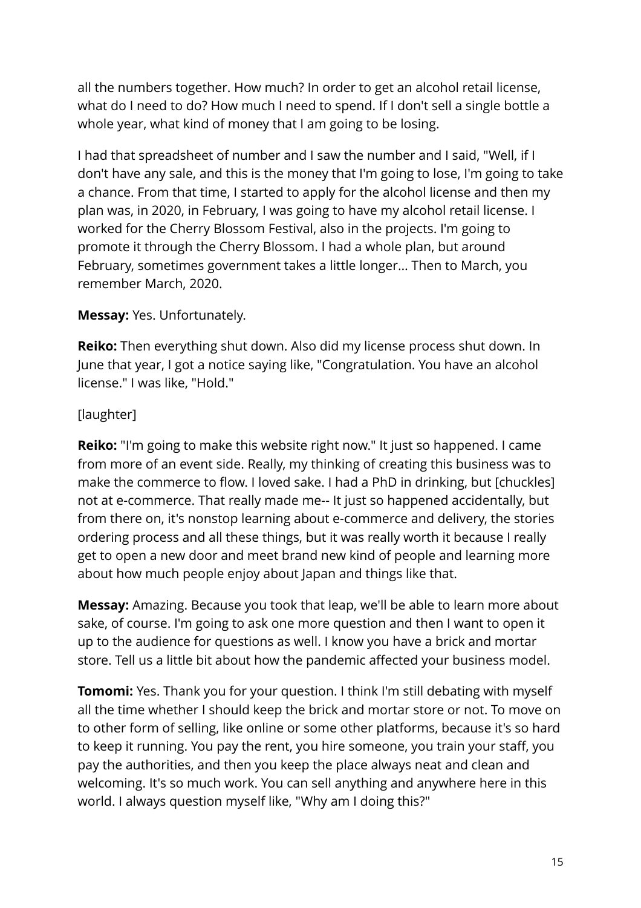all the numbers together. How much? In order to get an alcohol retail license, what do I need to do? How much I need to spend. If I don't sell a single bottle a whole year, what kind of money that I am going to be losing.

I had that spreadsheet of number and I saw the number and I said, "Well, if I don't have any sale, and this is the money that I'm going to lose, I'm going to take a chance. From that time, I started to apply for the alcohol license and then my plan was, in 2020, in February, I was going to have my alcohol retail license. I worked for the Cherry Blossom Festival, also in the projects. I'm going to promote it through the Cherry Blossom. I had a whole plan, but around February, sometimes government takes a little longer… Then to March, you remember March, 2020.

#### **Messay:** Yes. Unfortunately.

**Reiko:** Then everything shut down. Also did my license process shut down. In June that year, I got a notice saying like, "Congratulation. You have an alcohol license." I was like, "Hold."

## [laughter]

**Reiko:** "I'm going to make this website right now." It just so happened. I came from more of an event side. Really, my thinking of creating this business was to make the commerce to flow. I loved sake. I had a PhD in drinking, but [chuckles] not at e-commerce. That really made me-- It just so happened accidentally, but from there on, it's nonstop learning about e-commerce and delivery, the stories ordering process and all these things, but it was really worth it because I really get to open a new door and meet brand new kind of people and learning more about how much people enjoy about Japan and things like that.

**Messay:** Amazing. Because you took that leap, we'll be able to learn more about sake, of course. I'm going to ask one more question and then I want to open it up to the audience for questions as well. I know you have a brick and mortar store. Tell us a little bit about how the pandemic affected your business model.

**Tomomi:** Yes. Thank you for your question. I think I'm still debating with myself all the time whether I should keep the brick and mortar store or not. To move on to other form of selling, like online or some other platforms, because it's so hard to keep it running. You pay the rent, you hire someone, you train your staff, you pay the authorities, and then you keep the place always neat and clean and welcoming. It's so much work. You can sell anything and anywhere here in this world. I always question myself like, "Why am I doing this?"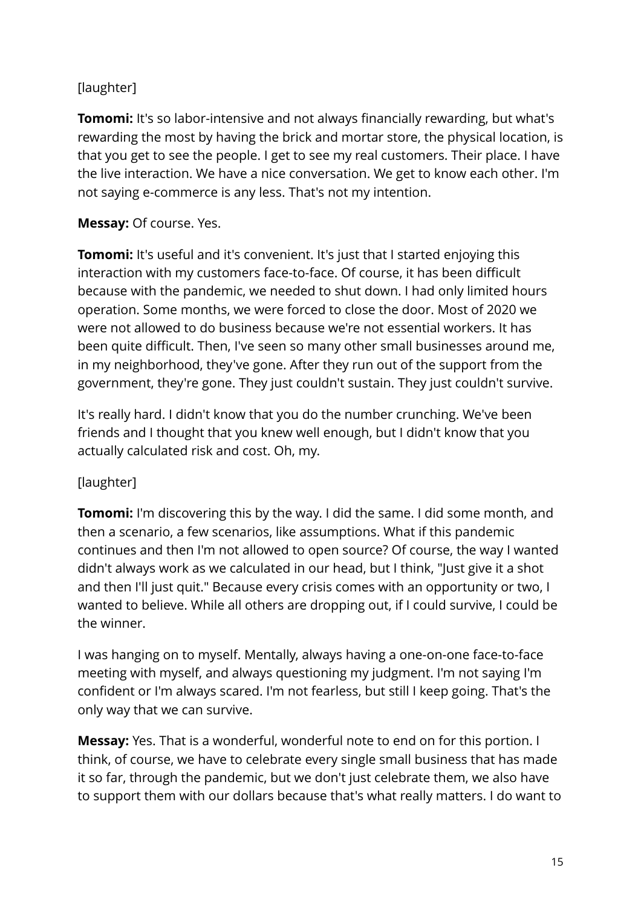# [laughter]

**Tomomi:** It's so labor-intensive and not always financially rewarding, but what's rewarding the most by having the brick and mortar store, the physical location, is that you get to see the people. I get to see my real customers. Their place. I have the live interaction. We have a nice conversation. We get to know each other. I'm not saying e-commerce is any less. That's not my intention.

#### **Messay:** Of course. Yes.

**Tomomi:** It's useful and it's convenient. It's just that I started enjoying this interaction with my customers face-to-face. Of course, it has been difficult because with the pandemic, we needed to shut down. I had only limited hours operation. Some months, we were forced to close the door. Most of 2020 we were not allowed to do business because we're not essential workers. It has been quite difficult. Then, I've seen so many other small businesses around me, in my neighborhood, they've gone. After they run out of the support from the government, they're gone. They just couldn't sustain. They just couldn't survive.

It's really hard. I didn't know that you do the number crunching. We've been friends and I thought that you knew well enough, but I didn't know that you actually calculated risk and cost. Oh, my.

## [laughter]

**Tomomi:** I'm discovering this by the way. I did the same. I did some month, and then a scenario, a few scenarios, like assumptions. What if this pandemic continues and then I'm not allowed to open source? Of course, the way I wanted didn't always work as we calculated in our head, but I think, "Just give it a shot and then I'll just quit." Because every crisis comes with an opportunity or two, I wanted to believe. While all others are dropping out, if I could survive, I could be the winner.

I was hanging on to myself. Mentally, always having a one-on-one face-to-face meeting with myself, and always questioning my judgment. I'm not saying I'm confident or I'm always scared. I'm not fearless, but still I keep going. That's the only way that we can survive.

**Messay:** Yes. That is a wonderful, wonderful note to end on for this portion. I think, of course, we have to celebrate every single small business that has made it so far, through the pandemic, but we don't just celebrate them, we also have to support them with our dollars because that's what really matters. I do want to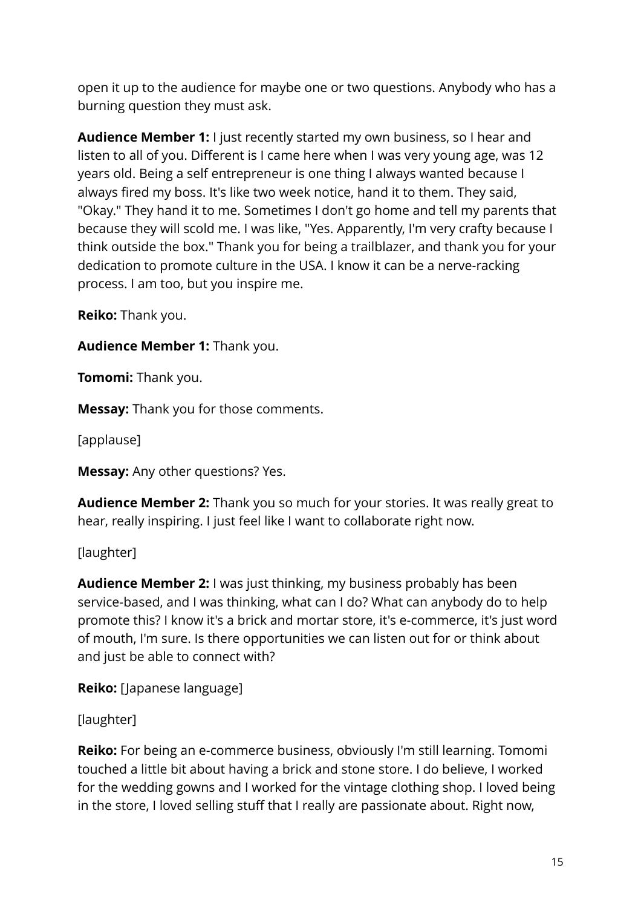open it up to the audience for maybe one or two questions. Anybody who has a burning question they must ask.

**Audience Member 1:** I just recently started my own business, so I hear and listen to all of you. Different is I came here when I was very young age, was 12 years old. Being a self entrepreneur is one thing I always wanted because I always fired my boss. It's like two week notice, hand it to them. They said, "Okay." They hand it to me. Sometimes I don't go home and tell my parents that because they will scold me. I was like, "Yes. Apparently, I'm very crafty because I think outside the box." Thank you for being a trailblazer, and thank you for your dedication to promote culture in the USA. I know it can be a nerve-racking process. I am too, but you inspire me.

**Reiko:** Thank you.

**Audience Member 1:** Thank you.

**Tomomi:** Thank you.

**Messay:** Thank you for those comments.

[applause]

**Messay:** Any other questions? Yes.

**Audience Member 2:** Thank you so much for your stories. It was really great to hear, really inspiring. I just feel like I want to collaborate right now.

[laughter]

**Audience Member 2:** I was just thinking, my business probably has been service-based, and I was thinking, what can I do? What can anybody do to help promote this? I know it's a brick and mortar store, it's e-commerce, it's just word of mouth, I'm sure. Is there opportunities we can listen out for or think about and just be able to connect with?

**Reiko:** [Japanese language]

[laughter]

**Reiko:** For being an e-commerce business, obviously I'm still learning. Tomomi touched a little bit about having a brick and stone store. I do believe, I worked for the wedding gowns and I worked for the vintage clothing shop. I loved being in the store, I loved selling stuff that I really are passionate about. Right now,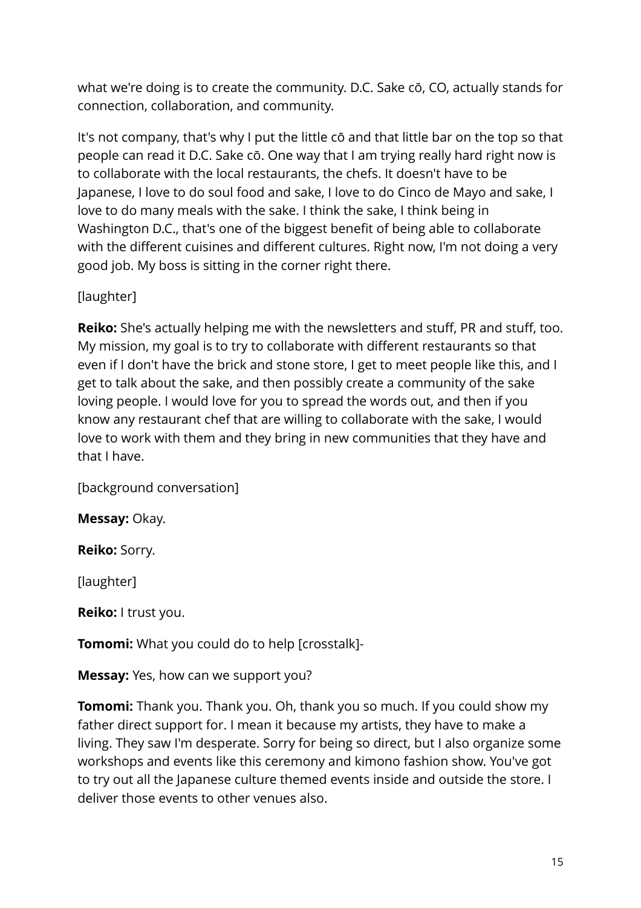what we're doing is to create the community. D.C. Sake cō, CO, actually stands for connection, collaboration, and community.

It's not company, that's why I put the little cō and that little bar on the top so that people can read it D.C. Sake cō. One way that I am trying really hard right now is to collaborate with the local restaurants, the chefs. It doesn't have to be Japanese, I love to do soul food and sake, I love to do Cinco de Mayo and sake, I love to do many meals with the sake. I think the sake, I think being in Washington D.C., that's one of the biggest benefit of being able to collaborate with the different cuisines and different cultures. Right now, I'm not doing a very good job. My boss is sitting in the corner right there.

# [laughter]

**Reiko:** She's actually helping me with the newsletters and stuff, PR and stuff, too. My mission, my goal is to try to collaborate with different restaurants so that even if I don't have the brick and stone store, I get to meet people like this, and I get to talk about the sake, and then possibly create a community of the sake loving people. I would love for you to spread the words out, and then if you know any restaurant chef that are willing to collaborate with the sake, I would love to work with them and they bring in new communities that they have and that I have.

[background conversation]

**Messay:** Okay.

**Reiko:** Sorry.

[laughter]

**Reiko:** I trust you.

**Tomomi:** What you could do to help [crosstalk]-

**Messay:** Yes, how can we support you?

**Tomomi:** Thank you. Thank you. Oh, thank you so much. If you could show my father direct support for. I mean it because my artists, they have to make a living. They saw I'm desperate. Sorry for being so direct, but I also organize some workshops and events like this ceremony and kimono fashion show. You've got to try out all the Japanese culture themed events inside and outside the store. I deliver those events to other venues also.